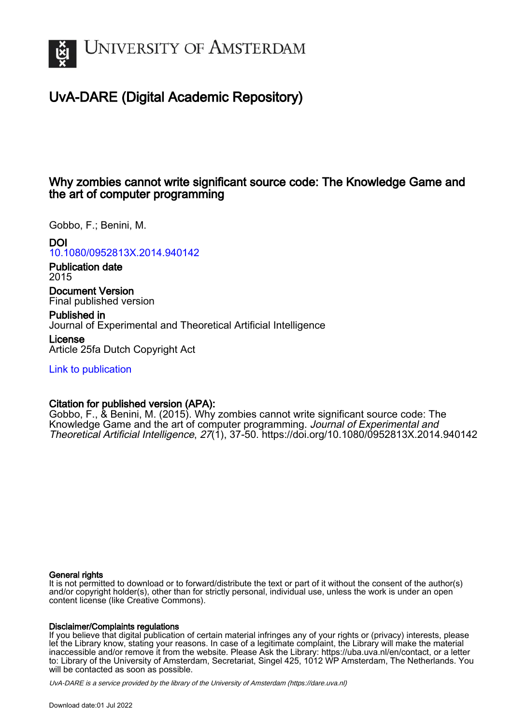

# UvA-DARE (Digital Academic Repository)

## Why zombies cannot write significant source code: The Knowledge Game and the art of computer programming

Gobbo, F.; Benini, M.

## DOI

[10.1080/0952813X.2014.940142](https://doi.org/10.1080/0952813X.2014.940142)

Publication date 2015

Document Version Final published version

Published in Journal of Experimental and Theoretical Artificial Intelligence

License Article 25fa Dutch Copyright Act

[Link to publication](https://dare.uva.nl/personal/pure/en/publications/why-zombies-cannot-write-significant-source-code-the-knowledge-game-and-the-art-of-computer-programming(86bcc2df-c081-442e-b9bb-8c7fe7ba0c37).html)

## Citation for published version (APA):

Gobbo, F., & Benini, M. (2015). Why zombies cannot write significant source code: The Knowledge Game and the art of computer programming. Journal of Experimental and Theoretical Artificial Intelligence, 27(1), 37-50.<https://doi.org/10.1080/0952813X.2014.940142>

## General rights

It is not permitted to download or to forward/distribute the text or part of it without the consent of the author(s) and/or copyright holder(s), other than for strictly personal, individual use, unless the work is under an open content license (like Creative Commons).

## Disclaimer/Complaints regulations

If you believe that digital publication of certain material infringes any of your rights or (privacy) interests, please let the Library know, stating your reasons. In case of a legitimate complaint, the Library will make the material inaccessible and/or remove it from the website. Please Ask the Library: https://uba.uva.nl/en/contact, or a letter to: Library of the University of Amsterdam, Secretariat, Singel 425, 1012 WP Amsterdam, The Netherlands. You will be contacted as soon as possible.

UvA-DARE is a service provided by the library of the University of Amsterdam (http*s*://dare.uva.nl)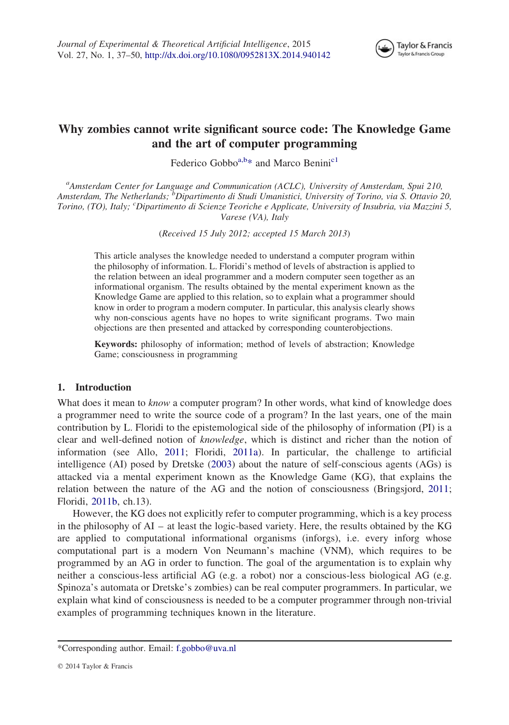

## Why zombies cannot write significant source code: The Knowledge Game and the art of computer programming

Federico Gobbo $a,b*$  and Marco Benini<sup>[c1](#page-13-0)</sup>

<sup>a</sup> Amsterdam Center for Language and Communication (ACLC), University of Amsterdam, Spui 210, Amsterdam, The Netherlands; <sup>b</sup>Dipartimento di Studi Umanistici, University of Torino, via S. Ottavio 20, Torino, (TO), Italy; <sup>c</sup>Dipartimento di Scienze Teoriche e Applicate, University of Insubria, via Mazzini 5, Varese (VA), Italy

(Received 15 July 2012; accepted 15 March 2013)

This article analyses the knowledge needed to understand a computer program within the philosophy of information. L. Floridi's method of levels of abstraction is applied to the relation between an ideal programmer and a modern computer seen together as an informational organism. The results obtained by the mental experiment known as the Knowledge Game are applied to this relation, so to explain what a programmer should know in order to program a modern computer. In particular, this analysis clearly shows why non-conscious agents have no hopes to write significant programs. Two main objections are then presented and attacked by corresponding counterobjections.

Keywords: philosophy of information; method of levels of abstraction; Knowledge Game; consciousness in programming

## 1. Introduction

What does it mean to *know* a computer program? In other words, what kind of knowledge does a programmer need to write the source code of a program? In the last years, one of the main contribution by L. Floridi to the epistemological side of the philosophy of information (PI) is a clear and well-defined notion of knowledge, which is distinct and richer than the notion of information (see Allo, [2011](#page-13-0); Floridi, [2011a](#page-14-0)). In particular, the challenge to artificial intelligence (AI) posed by Dretske ([2003\)](#page-14-0) about the nature of self-conscious agents (AGs) is attacked via a mental experiment known as the Knowledge Game (KG), that explains the relation between the nature of the AG and the notion of consciousness (Bringsjord, [2011;](#page-13-0) Floridi, [2011b,](#page-14-0) ch.13).

However, the KG does not explicitly refer to computer programming, which is a key process in the philosophy of AI – at least the logic-based variety. Here, the results obtained by the KG are applied to computational informational organisms (inforgs), i.e. every inforg whose computational part is a modern Von Neumann's machine (VNM), which requires to be programmed by an AG in order to function. The goal of the argumentation is to explain why neither a conscious-less artificial AG (e.g. a robot) nor a conscious-less biological AG (e.g. Spinoza's automata or Dretske's zombies) can be real computer programmers. In particular, we explain what kind of consciousness is needed to be a computer programmer through non-trivial examples of programming techniques known in the literature.

<sup>\*</sup>Corresponding author. Email: [f.gobbo@uva.nl](mailto:f.gobbo@uva.nl)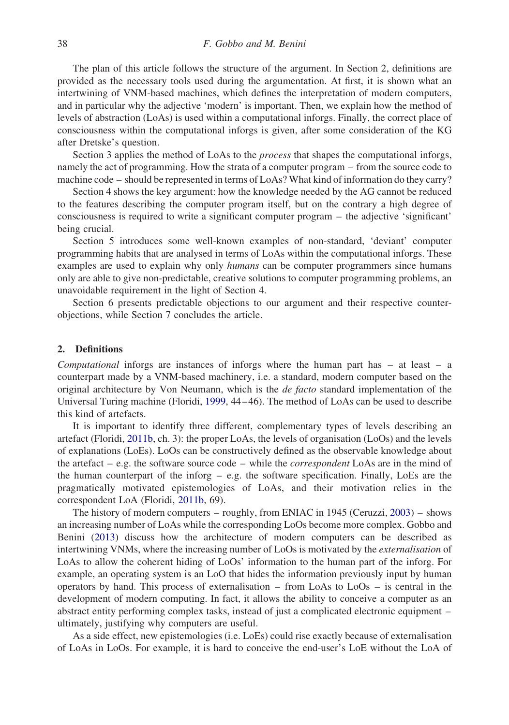The plan of this article follows the structure of the argument. In Section 2, definitions are provided as the necessary tools used during the argumentation. At first, it is shown what an intertwining of VNM-based machines, which defines the interpretation of modern computers, and in particular why the adjective 'modern' is important. Then, we explain how the method of levels of abstraction (LoAs) is used within a computational inforgs. Finally, the correct place of consciousness within the computational inforgs is given, after some consideration of the KG after Dretske's question.

Section 3 applies the method of LoAs to the process that shapes the computational inforgs, namely the act of programming. How the strata of a computer program – from the source code to machine code – should be represented in terms of LoAs? What kind of information do they carry?

Section 4 shows the key argument: how the knowledge needed by the AG cannot be reduced to the features describing the computer program itself, but on the contrary a high degree of consciousness is required to write a significant computer program – the adjective 'significant' being crucial.

Section 5 introduces some well-known examples of non-standard, 'deviant' computer programming habits that are analysed in terms of LoAs within the computational inforgs. These examples are used to explain why only *humans* can be computer programmers since humans only are able to give non-predictable, creative solutions to computer programming problems, an unavoidable requirement in the light of Section 4.

Section 6 presents predictable objections to our argument and their respective counterobjections, while Section 7 concludes the article.

### 2. Definitions

Computational inforgs are instances of inforgs where the human part has  $-$  at least  $-$  a counterpart made by a VNM-based machinery, i.e. a standard, modern computer based on the original architecture by Von Neumann, which is the *de facto* standard implementation of the Universal Turing machine (Floridi, [1999,](#page-14-0) 44 –46). The method of LoAs can be used to describe this kind of artefacts.

It is important to identify three different, complementary types of levels describing an artefact (Floridi, [2011b](#page-14-0), ch. 3): the proper LoAs, the levels of organisation (LoOs) and the levels of explanations (LoEs). LoOs can be constructively defined as the observable knowledge about the artefact – e.g. the software source code – while the *correspondent* LoAs are in the mind of the human counterpart of the inforg – e.g. the software specification. Finally, LoEs are the pragmatically motivated epistemologies of LoAs, and their motivation relies in the correspondent LoA (Floridi, [2011b,](#page-14-0) 69).

The history of modern computers – roughly, from ENIAC in 1945 (Ceruzzi, [2003\)](#page-13-0) – shows an increasing number of LoAs while the corresponding LoOs become more complex. Gobbo and Benini ([2013\)](#page-14-0) discuss how the architecture of modern computers can be described as intertwining VNMs, where the increasing number of LoOs is motivated by the externalisation of LoAs to allow the coherent hiding of LoOs' information to the human part of the inforg. For example, an operating system is an LoO that hides the information previously input by human operators by hand. This process of externalisation – from LoAs to LoOs – is central in the development of modern computing. In fact, it allows the ability to conceive a computer as an abstract entity performing complex tasks, instead of just a complicated electronic equipment – ultimately, justifying why computers are useful.

As a side effect, new epistemologies (i.e. LoEs) could rise exactly because of externalisation of LoAs in LoOs. For example, it is hard to conceive the end-user's LoE without the LoA of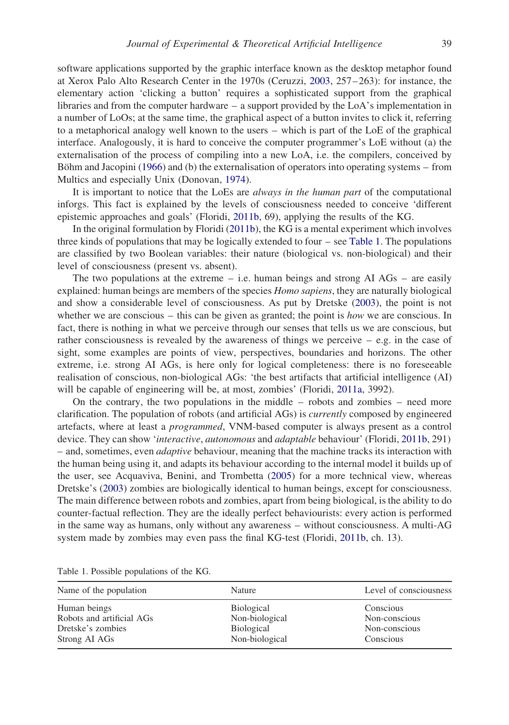<span id="page-3-0"></span>software applications supported by the graphic interface known as the desktop metaphor found at Xerox Palo Alto Research Center in the 1970s (Ceruzzi, [2003,](#page-13-0) 257 –263): for instance, the elementary action 'clicking a button' requires a sophisticated support from the graphical libraries and from the computer hardware – a support provided by the LoA's implementation in a number of LoOs; at the same time, the graphical aspect of a button invites to click it, referring to a metaphorical analogy well known to the users – which is part of the LoE of the graphical interface. Analogously, it is hard to conceive the computer programmer's LoE without (a) the externalisation of the process of compiling into a new LoA, i.e. the compilers, conceived by Böhm and Jacopini [\(1966](#page-13-0)) and (b) the externalisation of operators into operating systems – from Multics and especially Unix (Donovan, [1974\)](#page-13-0).

It is important to notice that the LoEs are *always in the human part* of the computational inforgs. This fact is explained by the levels of consciousness needed to conceive 'different epistemic approaches and goals' (Floridi, [2011b,](#page-14-0) 69), applying the results of the KG.

In the original formulation by Floridi [\(2011b](#page-14-0)), the KG is a mental experiment which involves three kinds of populations that may be logically extended to four  $-$  see Table 1. The populations are classified by two Boolean variables: their nature (biological vs. non-biological) and their level of consciousness (present vs. absent).

The two populations at the extreme  $-$  i.e. human beings and strong AI AGs  $-$  are easily explained: human beings are members of the species *Homo sapiens*, they are naturally biological and show a considerable level of consciousness. As put by Dretske [\(2003\)](#page-14-0), the point is not whether we are conscious – this can be given as granted; the point is *how* we are conscious. In fact, there is nothing in what we perceive through our senses that tells us we are conscious, but rather consciousness is revealed by the awareness of things we perceive  $-$  e.g. in the case of sight, some examples are points of view, perspectives, boundaries and horizons. The other extreme, i.e. strong AI AGs, is here only for logical completeness: there is no foreseeable realisation of conscious, non-biological AGs: 'the best artifacts that artificial intelligence (AI) will be capable of engineering will be, at most, zombies' (Floridi, [2011a,](#page-14-0) 3992).

On the contrary, the two populations in the middle – robots and zombies – need more clarification. The population of robots (and artificial AGs) is currently composed by engineered artefacts, where at least a programmed, VNM-based computer is always present as a control device. They can show *'interactive, autonomous* and *adaptable* behaviour' (Floridi, [2011b,](#page-14-0) 291) – and, sometimes, even adaptive behaviour, meaning that the machine tracks its interaction with the human being using it, and adapts its behaviour according to the internal model it builds up of the user, see Acquaviva, Benini, and Trombetta ([2005\)](#page-13-0) for a more technical view, whereas Dretske's ([2003\)](#page-14-0) zombies are biologically identical to human beings, except for consciousness. The main difference between robots and zombies, apart from being biological, is the ability to do counter-factual reflection. They are the ideally perfect behaviourists: every action is performed in the same way as humans, only without any awareness – without consciousness. A multi-AG system made by zombies may even pass the final KG-test (Floridi, [2011b](#page-14-0), ch. 13).

| Name of the population             | Nature                       | Level of consciousness     |
|------------------------------------|------------------------------|----------------------------|
| Human beings                       | <b>Biological</b>            | Conscious                  |
| Robots and artificial AGs          | Non-biological               | Non-conscious              |
| Dretske's zombies<br>Strong AI AGs | Biological<br>Non-biological | Non-conscious<br>Conscious |

Table 1. Possible populations of the KG.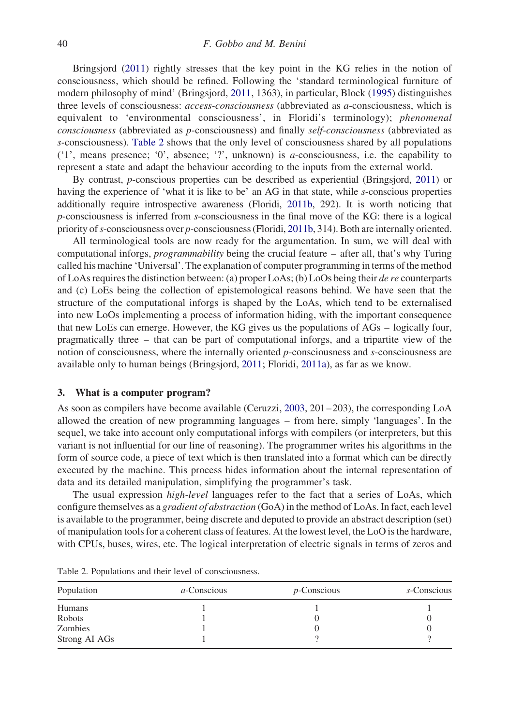<span id="page-4-0"></span>Bringsjord [\(2011](#page-13-0)) rightly stresses that the key point in the KG relies in the notion of consciousness, which should be refined. Following the 'standard terminological furniture of modern philosophy of mind' (Bringsjord, [2011](#page-13-0), 1363), in particular, Block ([1995\)](#page-13-0) distinguishes three levels of consciousness: access-consciousness (abbreviated as a-consciousness, which is equivalent to 'environmental consciousness', in Floridi's terminology); *phenomenal* consciousness (abbreviated as p-consciousness) and finally self-consciousness (abbreviated as s-consciousness). Table 2 shows that the only level of consciousness shared by all populations  $('1',$  means presence; '0', absence; '?', unknown) is *a*-consciousness, i.e. the capability to represent a state and adapt the behaviour according to the inputs from the external world.

By contrast, p-conscious properties can be described as experiential (Bringsjord, [2011](#page-13-0)) or having the experience of 'what it is like to be' an AG in that state, while s-conscious properties additionally require introspective awareness (Floridi, [2011b,](#page-14-0) 292). It is worth noticing that p-consciousness is inferred from s-consciousness in the final move of the KG: there is a logical priority of s-consciousness over p-consciousness (Floridi, [2011b](#page-14-0), 314). Both are internally oriented.

All terminological tools are now ready for the argumentation. In sum, we will deal with computational inforgs, programmability being the crucial feature – after all, that's why Turing called his machine 'Universal'. The explanation of computer programming in terms of the method of LoAs requires the distinction between: (a) proper LoAs; (b) LoOs being their de re counterparts and (c) LoEs being the collection of epistemological reasons behind. We have seen that the structure of the computational inforgs is shaped by the LoAs, which tend to be externalised into new LoOs implementing a process of information hiding, with the important consequence that new LoEs can emerge. However, the KG gives us the populations of AGs – logically four, pragmatically three – that can be part of computational inforgs, and a tripartite view of the notion of consciousness, where the internally oriented p-consciousness and s-consciousness are available only to human beings (Bringsjord, [2011](#page-13-0); Floridi, [2011a](#page-14-0)), as far as we know.

#### 3. What is a computer program?

As soon as compilers have become available (Ceruzzi, [2003](#page-13-0), 201 – 203), the corresponding LoA allowed the creation of new programming languages – from here, simply 'languages'. In the sequel, we take into account only computational inforgs with compilers (or interpreters, but this variant is not influential for our line of reasoning). The programmer writes his algorithms in the form of source code, a piece of text which is then translated into a format which can be directly executed by the machine. This process hides information about the internal representation of data and its detailed manipulation, simplifying the programmer's task.

The usual expression high-level languages refer to the fact that a series of LoAs, which configure themselves as a *gradient of abstraction* (GoA) in the method of LoAs. In fact, each level is available to the programmer, being discrete and deputed to provide an abstract description (set) of manipulation tools for a coherent class of features. At the lowest level, the LoO is the hardware, with CPUs, buses, wires, etc. The logical interpretation of electric signals in terms of zeros and

| Population    | <i>a</i> -Conscious | $p$ -Conscious | s-Conscious |
|---------------|---------------------|----------------|-------------|
| Humans        |                     |                |             |
| Robots        |                     |                |             |
| Zombies       |                     |                |             |
| Strong AI AGs |                     |                |             |

Table 2. Populations and their level of consciousness.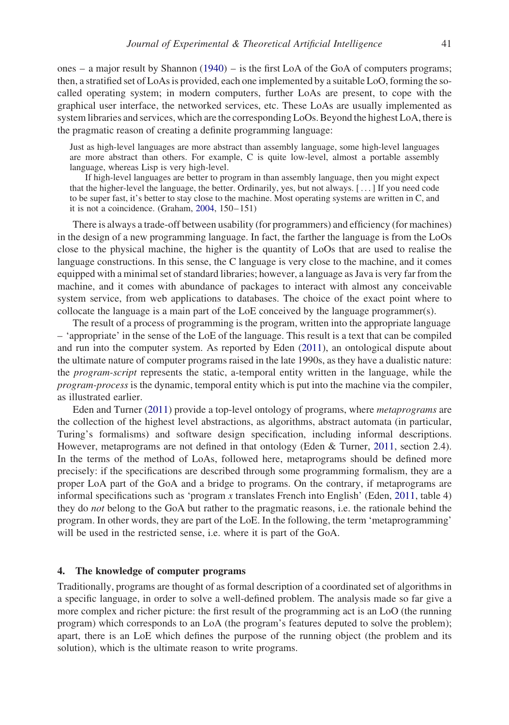ones – a major result by Shannon  $(1940)$  $(1940)$  – is the first LoA of the GoA of computers programs;

then, a stratified set of LoAs is provided, each one implemented by a suitable LoO, forming the socalled operating system; in modern computers, further LoAs are present, to cope with the graphical user interface, the networked services, etc. These LoAs are usually implemented as system libraries and services, which are the corresponding LoOs. Beyond the highest LoA, there is the pragmatic reason of creating a definite programming language:

Just as high-level languages are more abstract than assembly language, some high-level languages are more abstract than others. For example, C is quite low-level, almost a portable assembly language, whereas Lisp is very high-level.

If high-level languages are better to program in than assembly language, then you might expect that the higher-level the language, the better. Ordinarily, yes, but not always. [ ...] If you need code to be super fast, it's better to stay close to the machine. Most operating systems are written in C, and it is not a coincidence. (Graham, [2004,](#page-14-0) 150– 151)

There is always a trade-off between usability (for programmers) and efficiency (for machines) in the design of a new programming language. In fact, the farther the language is from the LoOs close to the physical machine, the higher is the quantity of LoOs that are used to realise the language constructions. In this sense, the C language is very close to the machine, and it comes equipped with a minimal set of standard libraries; however, a language as Java is very far from the machine, and it comes with abundance of packages to interact with almost any conceivable system service, from web applications to databases. The choice of the exact point where to collocate the language is a main part of the LoE conceived by the language programmer(s).

The result of a process of programming is the program, written into the appropriate language – 'appropriate' in the sense of the LoE of the language. This result is a text that can be compiled and run into the computer system. As reported by Eden [\(2011](#page-14-0)), an ontological dispute about the ultimate nature of computer programs raised in the late 1990s, as they have a dualistic nature: the program-script represents the static, a-temporal entity written in the language, while the program-process is the dynamic, temporal entity which is put into the machine via the compiler, as illustrated earlier.

Eden and Turner [\(2011](#page-14-0)) provide a top-level ontology of programs, where metaprograms are the collection of the highest level abstractions, as algorithms, abstract automata (in particular, Turing's formalisms) and software design specification, including informal descriptions. However, metaprograms are not defined in that ontology (Eden & Turner, [2011,](#page-14-0) section 2.4). In the terms of the method of LoAs, followed here, metaprograms should be defined more precisely: if the specifications are described through some programming formalism, they are a proper LoA part of the GoA and a bridge to programs. On the contrary, if metaprograms are informal specifications such as 'program x translates French into English' (Eden, [2011](#page-14-0), table 4) they do not belong to the GoA but rather to the pragmatic reasons, i.e. the rationale behind the program. In other words, they are part of the LoE. In the following, the term 'metaprogramming' will be used in the restricted sense, i.e. where it is part of the GoA.

### 4. The knowledge of computer programs

Traditionally, programs are thought of as formal description of a coordinated set of algorithms in a specific language, in order to solve a well-defined problem. The analysis made so far give a more complex and richer picture: the first result of the programming act is an LoO (the running program) which corresponds to an LoA (the program's features deputed to solve the problem); apart, there is an LoE which defines the purpose of the running object (the problem and its solution), which is the ultimate reason to write programs.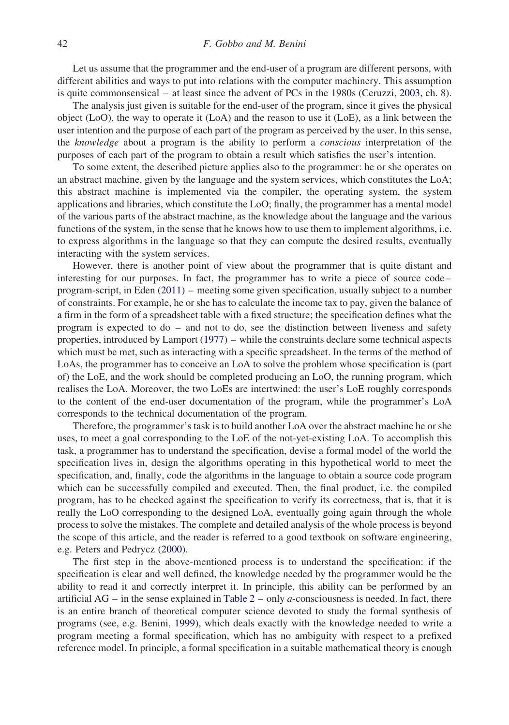Let us assume that the programmer and the end-user of a program are different persons, with different abilities and ways to put into relations with the computer machinery. This assumption is quite commonsensical – at least since the advent of PCs in the 1980s (Ceruzzi, [2003,](#page-13-0) ch. 8).

The analysis just given is suitable for the end-user of the program, since it gives the physical object (LoO), the way to operate it (LoA) and the reason to use it (LoE), as a link between the user intention and the purpose of each part of the program as perceived by the user. In this sense, the knowledge about a program is the ability to perform a conscious interpretation of the purposes of each part of the program to obtain a result which satisfies the user's intention.

To some extent, the described picture applies also to the programmer: he or she operates on an abstract machine, given by the language and the system services, which constitutes the LoA; this abstract machine is implemented via the compiler, the operating system, the system applications and libraries, which constitute the LoO; finally, the programmer has a mental model of the various parts of the abstract machine, as the knowledge about the language and the various functions of the system, in the sense that he knows how to use them to implement algorithms, i.e. to express algorithms in the language so that they can compute the desired results, eventually interacting with the system services.

However, there is another point of view about the programmer that is quite distant and interesting for our purposes. In fact, the programmer has to write a piece of source code – program-script, in Eden ([2011\)](#page-14-0) – meeting some given specification, usually subject to a number of constraints. For example, he or she has to calculate the income tax to pay, given the balance of a firm in the form of a spreadsheet table with a fixed structure; the specification defines what the program is expected to do – and not to do, see the distinction between liveness and safety properties, introduced by Lamport [\(1977](#page-14-0)) – while the constraints declare some technical aspects which must be met, such as interacting with a specific spreadsheet. In the terms of the method of LoAs, the programmer has to conceive an LoA to solve the problem whose specification is (part of) the LoE, and the work should be completed producing an LoO, the running program, which realises the LoA. Moreover, the two LoEs are intertwined: the user's LoE roughly corresponds to the content of the end-user documentation of the program, while the programmer's LoA corresponds to the technical documentation of the program.

Therefore, the programmer's task is to build another LoA over the abstract machine he or she uses, to meet a goal corresponding to the LoE of the not-yet-existing LoA. To accomplish this task, a programmer has to understand the specification, devise a formal model of the world the specification lives in, design the algorithms operating in this hypothetical world to meet the specification, and, finally, code the algorithms in the language to obtain a source code program which can be successfully compiled and executed. Then, the final product, i.e. the compiled program, has to be checked against the specification to verify its correctness, that is, that it is really the LoO corresponding to the designed LoA, eventually going again through the whole process to solve the mistakes. The complete and detailed analysis of the whole process is beyond the scope of this article, and the reader is referred to a good textbook on software engineering, e.g. Peters and Pedrycz [\(2000](#page-14-0)).

The first step in the above-mentioned process is to understand the specification: if the specification is clear and well defined, the knowledge needed by the programmer would be the ability to read it and correctly interpret it. In principle, this ability can be performed by an artificial AG – in the sense explained in Table  $2$  – only *a*-consciousness is needed. In fact, there is an entire branch of theoretical computer science devoted to study the formal synthesis of programs (see, e.g. Benini, [1999](#page-13-0)), which deals exactly with the knowledge needed to write a program meeting a formal specification, which has no ambiguity with respect to a prefixed reference model. In principle, a formal specification in a suitable mathematical theory is enough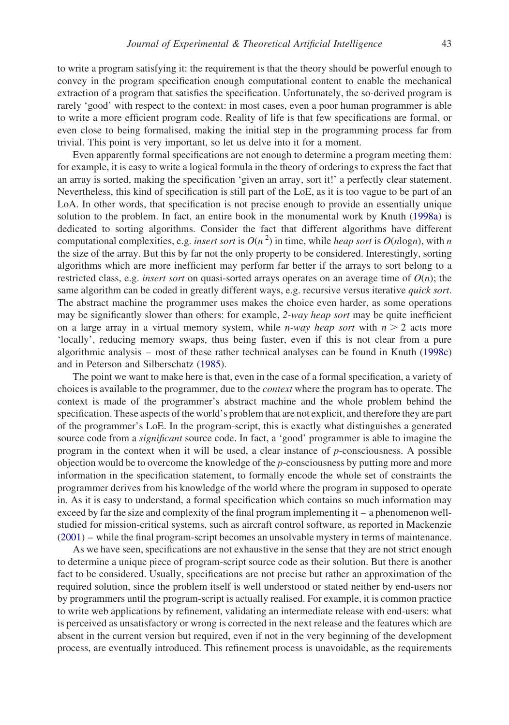to write a program satisfying it: the requirement is that the theory should be powerful enough to convey in the program specification enough computational content to enable the mechanical extraction of a program that satisfies the specification. Unfortunately, the so-derived program is rarely 'good' with respect to the context: in most cases, even a poor human programmer is able to write a more efficient program code. Reality of life is that few specifications are formal, or even close to being formalised, making the initial step in the programming process far from trivial. This point is very important, so let us delve into it for a moment.

Even apparently formal specifications are not enough to determine a program meeting them: for example, it is easy to write a logical formula in the theory of orderings to express the fact that an array is sorted, making the specification 'given an array, sort it!' a perfectly clear statement. Nevertheless, this kind of specification is still part of the LoE, as it is too vague to be part of an LoA. In other words, that specification is not precise enough to provide an essentially unique solution to the problem. In fact, an entire book in the monumental work by Knuth ([1998a](#page-14-0)) is dedicated to sorting algorithms. Consider the fact that different algorithms have different computational complexities, e.g. *insert sort* is  $O(n^2)$  in time, while *heap sort* is  $O(n \log n)$ , with *n* the size of the array. But this by far not the only property to be considered. Interestingly, sorting algorithms which are more inefficient may perform far better if the arrays to sort belong to a restricted class, e.g. *insert sort* on quasi-sorted arrays operates on an average time of  $O(n)$ ; the same algorithm can be coded in greatly different ways, e.g. recursive versus iterative *quick sort*. The abstract machine the programmer uses makes the choice even harder, as some operations may be significantly slower than others: for example, 2-way heap sort may be quite inefficient on a large array in a virtual memory system, while *n*-way heap sort with  $n > 2$  acts more 'locally', reducing memory swaps, thus being faster, even if this is not clear from a pure algorithmic analysis – most of these rather technical analyses can be found in Knuth ([1998c](#page-14-0)) and in Peterson and Silberschatz ([1985\)](#page-14-0).

The point we want to make here is that, even in the case of a formal specification, a variety of choices is available to the programmer, due to the context where the program has to operate. The context is made of the programmer's abstract machine and the whole problem behind the specification. These aspects of the world's problem that are not explicit, and therefore they are part of the programmer's LoE. In the program-script, this is exactly what distinguishes a generated source code from a *significant* source code. In fact, a 'good' programmer is able to imagine the program in the context when it will be used, a clear instance of p-consciousness. A possible objection would be to overcome the knowledge of the p-consciousness by putting more and more information in the specification statement, to formally encode the whole set of constraints the programmer derives from his knowledge of the world where the program in supposed to operate in. As it is easy to understand, a formal specification which contains so much information may exceed by far the size and complexity of the final program implementing it – a phenomenon wellstudied for mission-critical systems, such as aircraft control software, as reported in Mackenzie ([2001\)](#page-14-0) – while the final program-script becomes an unsolvable mystery in terms of maintenance.

As we have seen, specifications are not exhaustive in the sense that they are not strict enough to determine a unique piece of program-script source code as their solution. But there is another fact to be considered. Usually, specifications are not precise but rather an approximation of the required solution, since the problem itself is well understood or stated neither by end-users nor by programmers until the program-script is actually realised. For example, it is common practice to write web applications by refinement, validating an intermediate release with end-users: what is perceived as unsatisfactory or wrong is corrected in the next release and the features which are absent in the current version but required, even if not in the very beginning of the development process, are eventually introduced. This refinement process is unavoidable, as the requirements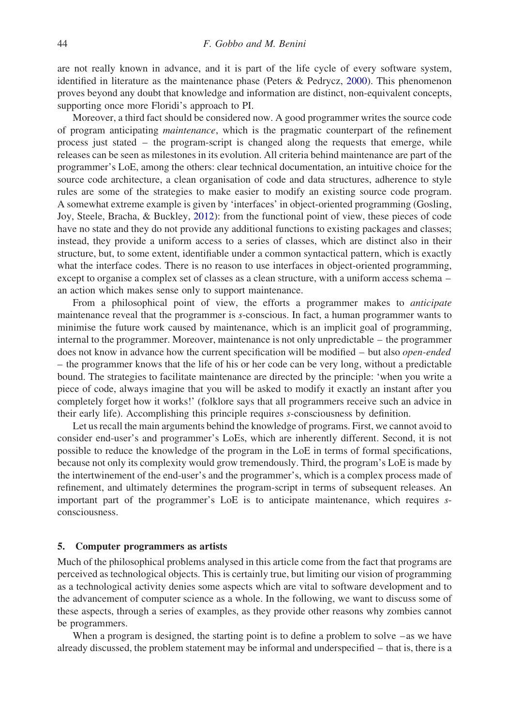are not really known in advance, and it is part of the life cycle of every software system, identified in literature as the maintenance phase (Peters & Pedrycz, [2000\)](#page-14-0). This phenomenon proves beyond any doubt that knowledge and information are distinct, non-equivalent concepts, supporting once more Floridi's approach to PI.

Moreover, a third fact should be considered now. A good programmer writes the source code of program anticipating maintenance, which is the pragmatic counterpart of the refinement process just stated – the program-script is changed along the requests that emerge, while releases can be seen as milestones in its evolution. All criteria behind maintenance are part of the programmer's LoE, among the others: clear technical documentation, an intuitive choice for the source code architecture, a clean organisation of code and data structures, adherence to style rules are some of the strategies to make easier to modify an existing source code program. A somewhat extreme example is given by 'interfaces' in object-oriented programming (Gosling, Joy, Steele, Bracha, & Buckley, [2012](#page-14-0)): from the functional point of view, these pieces of code have no state and they do not provide any additional functions to existing packages and classes; instead, they provide a uniform access to a series of classes, which are distinct also in their structure, but, to some extent, identifiable under a common syntactical pattern, which is exactly what the interface codes. There is no reason to use interfaces in object-oriented programming, except to organise a complex set of classes as a clean structure, with a uniform access schema – an action which makes sense only to support maintenance.

From a philosophical point of view, the efforts a programmer makes to anticipate maintenance reveal that the programmer is s-conscious. In fact, a human programmer wants to minimise the future work caused by maintenance, which is an implicit goal of programming, internal to the programmer. Moreover, maintenance is not only unpredictable – the programmer does not know in advance how the current specification will be modified – but also *open-ended* – the programmer knows that the life of his or her code can be very long, without a predictable bound. The strategies to facilitate maintenance are directed by the principle: 'when you write a piece of code, always imagine that you will be asked to modify it exactly an instant after you completely forget how it works!' (folklore says that all programmers receive such an advice in their early life). Accomplishing this principle requires s-consciousness by definition.

Let us recall the main arguments behind the knowledge of programs. First, we cannot avoid to consider end-user's and programmer's LoEs, which are inherently different. Second, it is not possible to reduce the knowledge of the program in the LoE in terms of formal specifications, because not only its complexity would grow tremendously. Third, the program's LoE is made by the intertwinement of the end-user's and the programmer's, which is a complex process made of refinement, and ultimately determines the program-script in terms of subsequent releases. An important part of the programmer's LoE is to anticipate maintenance, which requires sconsciousness.

### 5. Computer programmers as artists

Much of the philosophical problems analysed in this article come from the fact that programs are perceived as technological objects. This is certainly true, but limiting our vision of programming as a technological activity denies some aspects which are vital to software development and to the advancement of computer science as a whole. In the following, we want to discuss some of these aspects, through a series of examples, as they provide other reasons why zombies cannot be programmers.

When a program is designed, the starting point is to define a problem to solve –as we have already discussed, the problem statement may be informal and underspecified – that is, there is a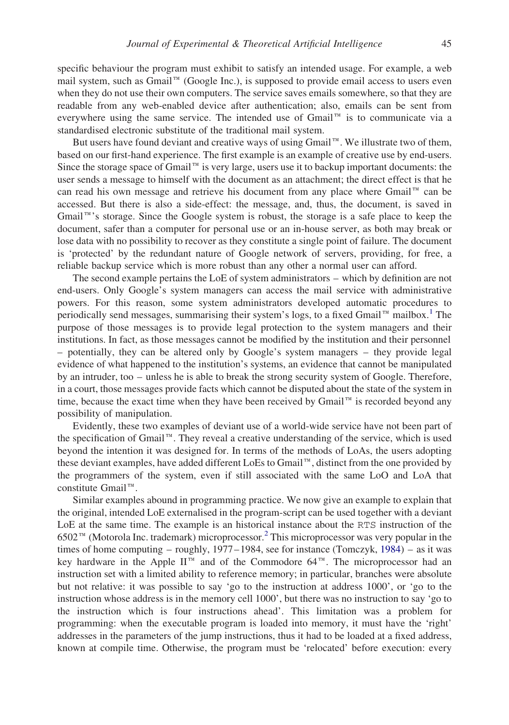specific behaviour the program must exhibit to satisfy an intended usage. For example, a web mail system, such as Gmail<sup> $m$ </sup> (Google Inc.), is supposed to provide email access to users even when they do not use their own computers. The service saves emails somewhere, so that they are readable from any web-enabled device after authentication; also, emails can be sent from everywhere using the same service. The intended use of Gmail<sup> $m$ </sup> is to communicate via a standardised electronic substitute of the traditional mail system.

But users have found deviant and creative ways of using Gmail<sup> $\mathbb{R}$ </sup>. We illustrate two of them, based on our first-hand experience. The first example is an example of creative use by end-users. Since the storage space of Gmail<sup> $n$ </sup> is very large, users use it to backup important documents: the user sends a message to himself with the document as an attachment; the direct effect is that he can read his own message and retrieve his document from any place where Gmail<sup>TM</sup> can be accessed. But there is also a side-effect: the message, and, thus, the document, is saved in Gmail<sup> $\pi$ </sup>'s storage. Since the Google system is robust, the storage is a safe place to keep the document, safer than a computer for personal use or an in-house server, as both may break or lose data with no possibility to recover as they constitute a single point of failure. The document is 'protected' by the redundant nature of Google network of servers, providing, for free, a reliable backup service which is more robust than any other a normal user can afford.

The second example pertains the LoE of system administrators – which by definition are not end-users. Only Google's system managers can access the mail service with administrative powers. For this reason, some system administrators developed automatic procedures to periodically send messages, summarising their system's logs, to a fixed Gmail<sup>[1](#page-13-0)M</sup> mailbox.<sup>1</sup> The purpose of those messages is to provide legal protection to the system managers and their institutions. In fact, as those messages cannot be modified by the institution and their personnel – potentially, they can be altered only by Google's system managers – they provide legal evidence of what happened to the institution's systems, an evidence that cannot be manipulated by an intruder, too – unless he is able to break the strong security system of Google. Therefore, in a court, those messages provide facts which cannot be disputed about the state of the system in time, because the exact time when they have been received by Gmail<sup> $n$ </sup> is recorded beyond any possibility of manipulation.

Evidently, these two examples of deviant use of a world-wide service have not been part of the specification of Gmail<sup>M</sup>. They reveal a creative understanding of the service, which is used beyond the intention it was designed for. In terms of the methods of LoAs, the users adopting these deviant examples, have added different LoEs to Gmail<sup>™</sup>, distinct from the one provided by the programmers of the system, even if still associated with the same LoO and LoA that constitute Gmail™.

Similar examples abound in programming practice. We now give an example to explain that the original, intended LoE externalised in the program-script can be used together with a deviant LoE at the same time. The example is an historical instance about the RTS instruction of the  $6502^{\text{m}}$  $6502^{\text{m}}$  $6502^{\text{m}}$  (Motorola Inc. trademark) microprocessor.<sup>2</sup> This microprocessor was very popular in the times of home computing – roughly,  $1977 - 1984$  $1977 - 1984$ , see for instance (Tomczyk,  $1984$ ) – as it was key hardware in the Apple II<sup>IM</sup> and of the Commodore  $64^{\text{TM}}$ . The microprocessor had an instruction set with a limited ability to reference memory; in particular, branches were absolute but not relative: it was possible to say 'go to the instruction at address 1000', or 'go to the instruction whose address is in the memory cell 1000', but there was no instruction to say 'go to the instruction which is four instructions ahead'. This limitation was a problem for programming: when the executable program is loaded into memory, it must have the 'right' addresses in the parameters of the jump instructions, thus it had to be loaded at a fixed address, known at compile time. Otherwise, the program must be 'relocated' before execution: every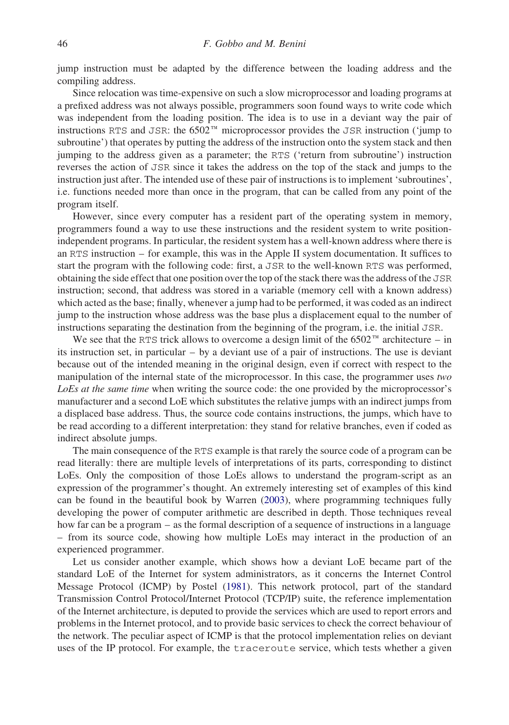jump instruction must be adapted by the difference between the loading address and the compiling address.

Since relocation was time-expensive on such a slow microprocessor and loading programs at a prefixed address was not always possible, programmers soon found ways to write code which was independent from the loading position. The idea is to use in a deviant way the pair of instructions RTS and JSR: the 6502<sup> $\text{m}$ </sup> microprocessor provides the JSR instruction ('jump to subroutine') that operates by putting the address of the instruction onto the system stack and then jumping to the address given as a parameter; the RTS ('return from subroutine') instruction reverses the action of JSR since it takes the address on the top of the stack and jumps to the instruction just after. The intended use of these pair of instructions is to implement 'subroutines', i.e. functions needed more than once in the program, that can be called from any point of the program itself.

However, since every computer has a resident part of the operating system in memory, programmers found a way to use these instructions and the resident system to write positionindependent programs. In particular, the resident system has a well-known address where there is an RTS instruction – for example, this was in the Apple II system documentation. It suffices to start the program with the following code: first, a JSR to the well-known RTS was performed, obtaining the side effect that one position over the top of the stack there was the address of the JSR instruction; second, that address was stored in a variable (memory cell with a known address) which acted as the base; finally, whenever a jump had to be performed, it was coded as an indirect jump to the instruction whose address was the base plus a displacement equal to the number of instructions separating the destination from the beginning of the program, i.e. the initial JSR.

We see that the RTS trick allows to overcome a design limit of the 6502<sup>TM</sup> architecture – in its instruction set, in particular – by a deviant use of a pair of instructions. The use is deviant because out of the intended meaning in the original design, even if correct with respect to the manipulation of the internal state of the microprocessor. In this case, the programmer uses two LoEs at the same time when writing the source code: the one provided by the microprocessor's manufacturer and a second LoE which substitutes the relative jumps with an indirect jumps from a displaced base address. Thus, the source code contains instructions, the jumps, which have to be read according to a different interpretation: they stand for relative branches, even if coded as indirect absolute jumps.

The main consequence of the RTS example is that rarely the source code of a program can be read literally: there are multiple levels of interpretations of its parts, corresponding to distinct LoEs. Only the composition of those LoEs allows to understand the program-script as an expression of the programmer's thought. An extremely interesting set of examples of this kind can be found in the beautiful book by Warren ([2003\)](#page-14-0), where programming techniques fully developing the power of computer arithmetic are described in depth. Those techniques reveal how far can be a program – as the formal description of a sequence of instructions in a language – from its source code, showing how multiple LoEs may interact in the production of an experienced programmer.

Let us consider another example, which shows how a deviant LoE became part of the standard LoE of the Internet for system administrators, as it concerns the Internet Control Message Protocol (ICMP) by Postel [\(1981](#page-14-0)). This network protocol, part of the standard Transmission Control Protocol/Internet Protocol (TCP/IP) suite, the reference implementation of the Internet architecture, is deputed to provide the services which are used to report errors and problems in the Internet protocol, and to provide basic services to check the correct behaviour of the network. The peculiar aspect of ICMP is that the protocol implementation relies on deviant uses of the IP protocol. For example, the traceroute service, which tests whether a given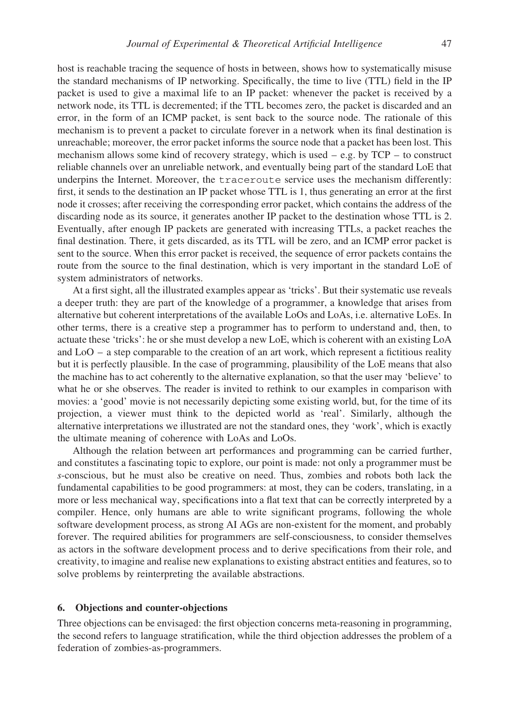host is reachable tracing the sequence of hosts in between, shows how to systematically misuse the standard mechanisms of IP networking. Specifically, the time to live (TTL) field in the IP packet is used to give a maximal life to an IP packet: whenever the packet is received by a network node, its TTL is decremented; if the TTL becomes zero, the packet is discarded and an error, in the form of an ICMP packet, is sent back to the source node. The rationale of this mechanism is to prevent a packet to circulate forever in a network when its final destination is unreachable; moreover, the error packet informs the source node that a packet has been lost. This mechanism allows some kind of recovery strategy, which is used  $-$  e.g. by  $TCP -$  to construct reliable channels over an unreliable network, and eventually being part of the standard LoE that underpins the Internet. Moreover, the traceroute service uses the mechanism differently: first, it sends to the destination an IP packet whose TTL is 1, thus generating an error at the first node it crosses; after receiving the corresponding error packet, which contains the address of the discarding node as its source, it generates another IP packet to the destination whose TTL is 2. Eventually, after enough IP packets are generated with increasing TTLs, a packet reaches the final destination. There, it gets discarded, as its TTL will be zero, and an ICMP error packet is sent to the source. When this error packet is received, the sequence of error packets contains the route from the source to the final destination, which is very important in the standard LoE of system administrators of networks.

At a first sight, all the illustrated examples appear as 'tricks'. But their systematic use reveals a deeper truth: they are part of the knowledge of a programmer, a knowledge that arises from alternative but coherent interpretations of the available LoOs and LoAs, i.e. alternative LoEs. In other terms, there is a creative step a programmer has to perform to understand and, then, to actuate these 'tricks': he or she must develop a new LoE, which is coherent with an existing LoA and  $LoO - a$  step comparable to the creation of an art work, which represent a fictitious reality but it is perfectly plausible. In the case of programming, plausibility of the LoE means that also the machine has to act coherently to the alternative explanation, so that the user may 'believe' to what he or she observes. The reader is invited to rethink to our examples in comparison with movies: a 'good' movie is not necessarily depicting some existing world, but, for the time of its projection, a viewer must think to the depicted world as 'real'. Similarly, although the alternative interpretations we illustrated are not the standard ones, they 'work', which is exactly the ultimate meaning of coherence with LoAs and LoOs.

Although the relation between art performances and programming can be carried further, and constitutes a fascinating topic to explore, our point is made: not only a programmer must be s-conscious, but he must also be creative on need. Thus, zombies and robots both lack the fundamental capabilities to be good programmers: at most, they can be coders, translating, in a more or less mechanical way, specifications into a flat text that can be correctly interpreted by a compiler. Hence, only humans are able to write significant programs, following the whole software development process, as strong AI AGs are non-existent for the moment, and probably forever. The required abilities for programmers are self-consciousness, to consider themselves as actors in the software development process and to derive specifications from their role, and creativity, to imagine and realise new explanations to existing abstract entities and features, so to solve problems by reinterpreting the available abstractions.

#### 6. Objections and counter-objections

Three objections can be envisaged: the first objection concerns meta-reasoning in programming, the second refers to language stratification, while the third objection addresses the problem of a federation of zombies-as-programmers.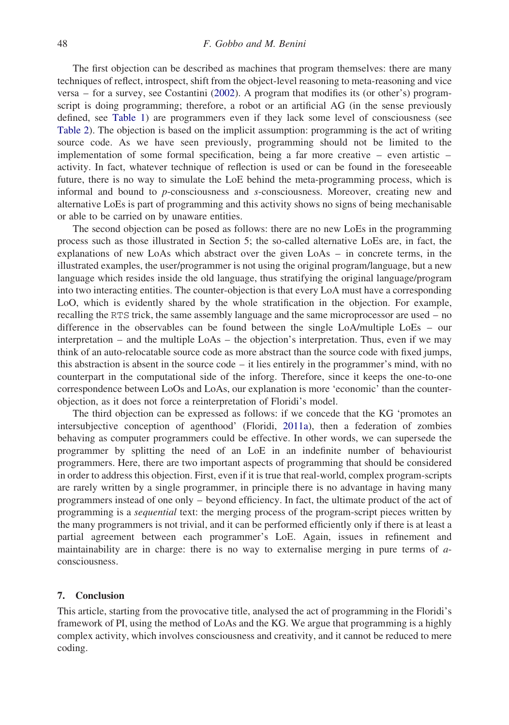The first objection can be described as machines that program themselves: there are many techniques of reflect, introspect, shift from the object-level reasoning to meta-reasoning and vice versa – for a survey, see Costantini [\(2002](#page-13-0)). A program that modifies its (or other's) programscript is doing programming; therefore, a robot or an artificial AG (in the sense previously defined, see [Table 1\)](#page-3-0) are programmers even if they lack some level of consciousness (see [Table 2](#page-4-0)). The objection is based on the implicit assumption: programming is the act of writing source code. As we have seen previously, programming should not be limited to the implementation of some formal specification, being a far more creative – even artistic – activity. In fact, whatever technique of reflection is used or can be found in the foreseeable future, there is no way to simulate the LoE behind the meta-programming process, which is informal and bound to p-consciousness and s-consciousness. Moreover, creating new and alternative LoEs is part of programming and this activity shows no signs of being mechanisable or able to be carried on by unaware entities.

The second objection can be posed as follows: there are no new LoEs in the programming process such as those illustrated in Section 5; the so-called alternative LoEs are, in fact, the explanations of new LoAs which abstract over the given LoAs – in concrete terms, in the illustrated examples, the user/programmer is not using the original program/language, but a new language which resides inside the old language, thus stratifying the original language/program into two interacting entities. The counter-objection is that every LoA must have a corresponding LoO, which is evidently shared by the whole stratification in the objection. For example, recalling the RTS trick, the same assembly language and the same microprocessor are used – no difference in the observables can be found between the single LoA/multiple LoEs – our interpretation – and the multiple LoAs – the objection's interpretation. Thus, even if we may think of an auto-relocatable source code as more abstract than the source code with fixed jumps, this abstraction is absent in the source code – it lies entirely in the programmer's mind, with no counterpart in the computational side of the inforg. Therefore, since it keeps the one-to-one correspondence between LoOs and LoAs, our explanation is more 'economic' than the counterobjection, as it does not force a reinterpretation of Floridi's model.

The third objection can be expressed as follows: if we concede that the KG 'promotes an intersubjective conception of agenthood' (Floridi, [2011a\)](#page-14-0), then a federation of zombies behaving as computer programmers could be effective. In other words, we can supersede the programmer by splitting the need of an LoE in an indefinite number of behaviourist programmers. Here, there are two important aspects of programming that should be considered in order to address this objection. First, even if it is true that real-world, complex program-scripts are rarely written by a single programmer, in principle there is no advantage in having many programmers instead of one only – beyond efficiency. In fact, the ultimate product of the act of programming is a sequential text: the merging process of the program-script pieces written by the many programmers is not trivial, and it can be performed efficiently only if there is at least a partial agreement between each programmer's LoE. Again, issues in refinement and maintainability are in charge: there is no way to externalise merging in pure terms of aconsciousness.

#### 7. Conclusion

This article, starting from the provocative title, analysed the act of programming in the Floridi's framework of PI, using the method of LoAs and the KG. We argue that programming is a highly complex activity, which involves consciousness and creativity, and it cannot be reduced to mere coding.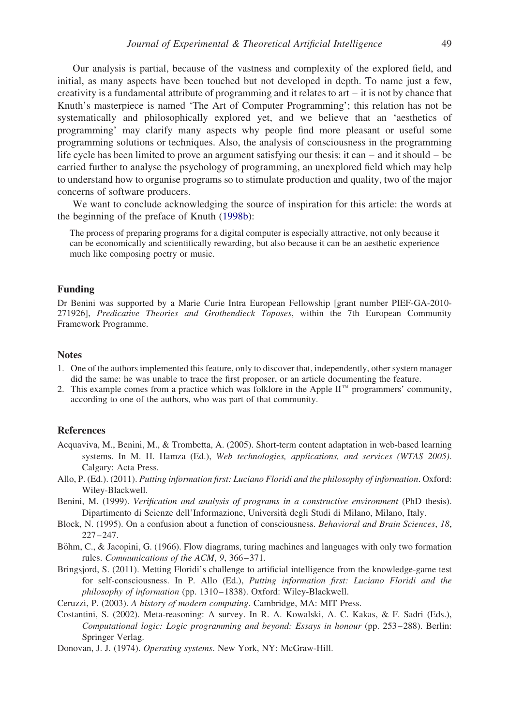<span id="page-13-0"></span>Our analysis is partial, because of the vastness and complexity of the explored field, and initial, as many aspects have been touched but not developed in depth. To name just a few, creativity is a fundamental attribute of programming and it relates to art – it is not by chance that Knuth's masterpiece is named 'The Art of Computer Programming'; this relation has not be systematically and philosophically explored yet, and we believe that an 'aesthetics of programming' may clarify many aspects why people find more pleasant or useful some programming solutions or techniques. Also, the analysis of consciousness in the programming life cycle has been limited to prove an argument satisfying our thesis: it can – and it should – be carried further to analyse the psychology of programming, an unexplored field which may help to understand how to organise programs so to stimulate production and quality, two of the major concerns of software producers.

We want to conclude acknowledging the source of inspiration for this article: the words at the beginning of the preface of Knuth [\(1998b](#page-14-0)):

The process of preparing programs for a digital computer is especially attractive, not only because it can be economically and scientifically rewarding, but also because it can be an aesthetic experience much like composing poetry or music.

#### Funding

Dr Benini was supported by a Marie Curie Intra European Fellowship [grant number PIEF-GA-2010- 271926], Predicative Theories and Grothendieck Toposes, within the 7th European Community Framework Programme.

#### **Notes**

- 1. One of the authors implemented this feature, only to discover that, independently, other system manager did the same: he was unable to trace the first proposer, or an article documenting the feature.
- 2. This example comes from a practice which was folklore in the Apple  $II^{\pi}$  programmers' community, according to one of the authors, who was part of that community.

### **References**

- Acquaviva, M., Benini, M., & Trombetta, A. (2005). Short-term content adaptation in web-based learning systems. In M. H. Hamza (Ed.), Web technologies, applications, and services (WTAS 2005). Calgary: Acta Press.
- Allo, P. (Ed.). (2011). Putting information first: Luciano Floridi and the philosophy of information. Oxford: Wiley-Blackwell.
- Benini, M. (1999). Verification and analysis of programs in a constructive environment (PhD thesis). Dipartimento di Scienze dell'Informazione, Universita` degli Studi di Milano, Milano, Italy.
- Block, N. (1995). On a confusion about a function of consciousness. Behavioral and Brain Sciences, 18,  $227 - 247.$
- Böhm, C., & Jacopini, G. (1966). Flow diagrams, turing machines and languages with only two formation rules. Communications of the ACM, 9, 366–371.
- Bringsjord, S. (2011). Metting Floridi's challenge to artificial intelligence from the knowledge-game test for self-consciousness. In P. Allo (Ed.), Putting information first: Luciano Floridi and the philosophy of information (pp. 1310–1838). Oxford: Wiley-Blackwell.

Ceruzzi, P. (2003). A history of modern computing. Cambridge, MA: MIT Press.

- Costantini, S. (2002). Meta-reasoning: A survey. In R. A. Kowalski, A. C. Kakas, & F. Sadri (Eds.), Computational logic: Logic programming and beyond: Essays in honour (pp. 253–288). Berlin: Springer Verlag.
- Donovan, J. J. (1974). Operating systems. New York, NY: McGraw-Hill.